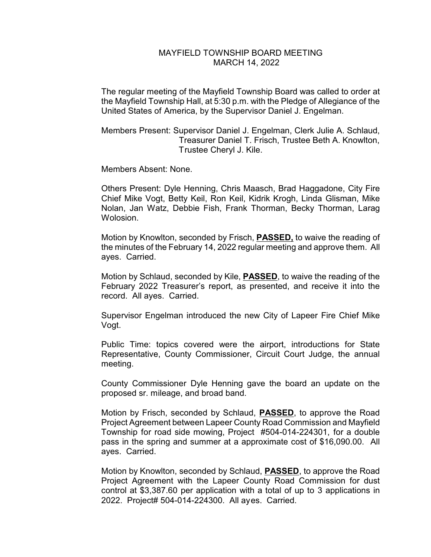## MAYFIELD TOWNSHIP BOARD MEETING MARCH 14, 2022

The regular meeting of the Mayfield Township Board was called to order at the Mayfield Township Hall, at 5:30 p.m. with the Pledge of Allegiance of the United States of America, by the Supervisor Daniel J. Engelman.

Members Present: Supervisor Daniel J. Engelman, Clerk Julie A. Schlaud, Treasurer Daniel T. Frisch, Trustee Beth A. Knowlton, Trustee Cheryl J. Kile.

Members Absent: None.

Others Present: Dyle Henning, Chris Maasch, Brad Haggadone, City Fire Chief Mike Vogt, Betty Keil, Ron Keil, Kidrik Krogh, Linda Glisman, Mike Nolan, Jan Watz, Debbie Fish, Frank Thorman, Becky Thorman, Larag Wolosion.

Motion by Knowlton, seconded by Frisch, **PASSED,** to waive the reading of the minutes of the February 14, 2022 regular meeting and approve them. All ayes. Carried.

Motion by Schlaud, seconded by Kile, **PASSED**, to waive the reading of the February 2022 Treasurer's report, as presented, and receive it into the record. All ayes. Carried.

Supervisor Engelman introduced the new City of Lapeer Fire Chief Mike Vogt.

Public Time: topics covered were the airport, introductions for State Representative, County Commissioner, Circuit Court Judge, the annual meeting.

County Commissioner Dyle Henning gave the board an update on the proposed sr. mileage, and broad band.

Motion by Frisch, seconded by Schlaud, **PASSED**, to approve the Road Project Agreement between Lapeer County Road Commission and Mayfield Township for road side mowing, Project #504-014-224301, for a double pass in the spring and summer at a approximate cost of \$16,090.00. All ayes. Carried.

Motion by Knowlton, seconded by Schlaud, **PASSED**, to approve the Road Project Agreement with the Lapeer County Road Commission for dust control at \$3,387.60 per application with a total of up to 3 applications in 2022. Project# 504-014-224300. All ayes. Carried.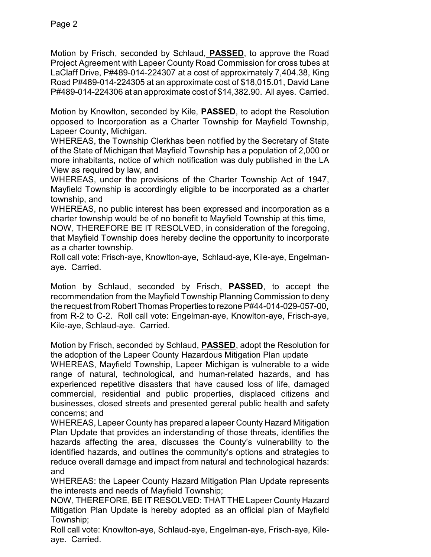Motion by Frisch, seconded by Schlaud, **PASSED**, to approve the Road Project Agreement with Lapeer County Road Commission for cross tubes at LaClaff Drive, P#489-014-224307 at a cost of approximately 7,404.38, King Road P#489-014-224305 at an approximate cost of \$18,015.01, David Lane P#489-014-224306 at an approximate cost of \$14,382.90. All ayes. Carried.

Motion by Knowlton, seconded by Kile, **PASSED**, to adopt the Resolution opposed to Incorporation as a Charter Township for Mayfield Township, Lapeer County, Michigan.

WHEREAS, the Township Clerkhas been notified by the Secretary of State of the State of Michigan that Mayfield Township has a population of 2,000 or more inhabitants, notice of which notification was duly published in the LA View as required by law, and

WHEREAS, under the provisions of the Charter Township Act of 1947, Mayfield Township is accordingly eligible to be incorporated as a charter township, and

WHEREAS, no public interest has been expressed and incorporation as a charter township would be of no benefit to Mayfield Township at this time,

NOW, THEREFORE BE IT RESOLVED, in consideration of the foregoing, that Mayfield Township does hereby decline the opportunity to incorporate as a charter township.

Roll call vote: Frisch-aye, Knowlton-aye, Schlaud-aye, Kile-aye, Engelmanaye. Carried.

Motion by Schlaud, seconded by Frisch, **PASSED**, to accept the recommendation from the Mayfield Township Planning Commission to deny the request from Robert Thomas Properties to rezone P#44-014-029-057-00, from R-2 to C-2. Roll call vote: Engelman-aye, Knowlton-aye, Frisch-aye, Kile-aye, Schlaud-aye. Carried.

Motion by Frisch, seconded by Schlaud, **PASSED**, adopt the Resolution for the adoption of the Lapeer County Hazardous Mitigation Plan update

WHEREAS, Mayfield Township, Lapeer Michigan is vulnerable to a wide range of natural, technological, and human-related hazards, and has experienced repetitive disasters that have caused loss of life, damaged commercial, residential and public properties, displaced citizens and businesses, closed streets and presented gereral public health and safety concerns; and

WHEREAS, Lapeer County has prepared a lapeer County Hazard Mitigation Plan Update that provides an inderstanding of those threats, identifies the hazards affecting the area, discusses the County's vulnerability to the identified hazards, and outlines the community's options and strategies to reduce overall damage and impact from natural and technological hazards: and

WHEREAS: the Lapeer County Hazard Mitigation Plan Update represents the interests and needs of Mayfield Township;

NOW, THEREFORE, BE IT RESOLVED: THAT THE Lapeer County Hazard Mitigation Plan Update is hereby adopted as an official plan of Mayfield Township;

Roll call vote: Knowlton-aye, Schlaud-aye, Engelman-aye, Frisch-aye, Kileaye. Carried.